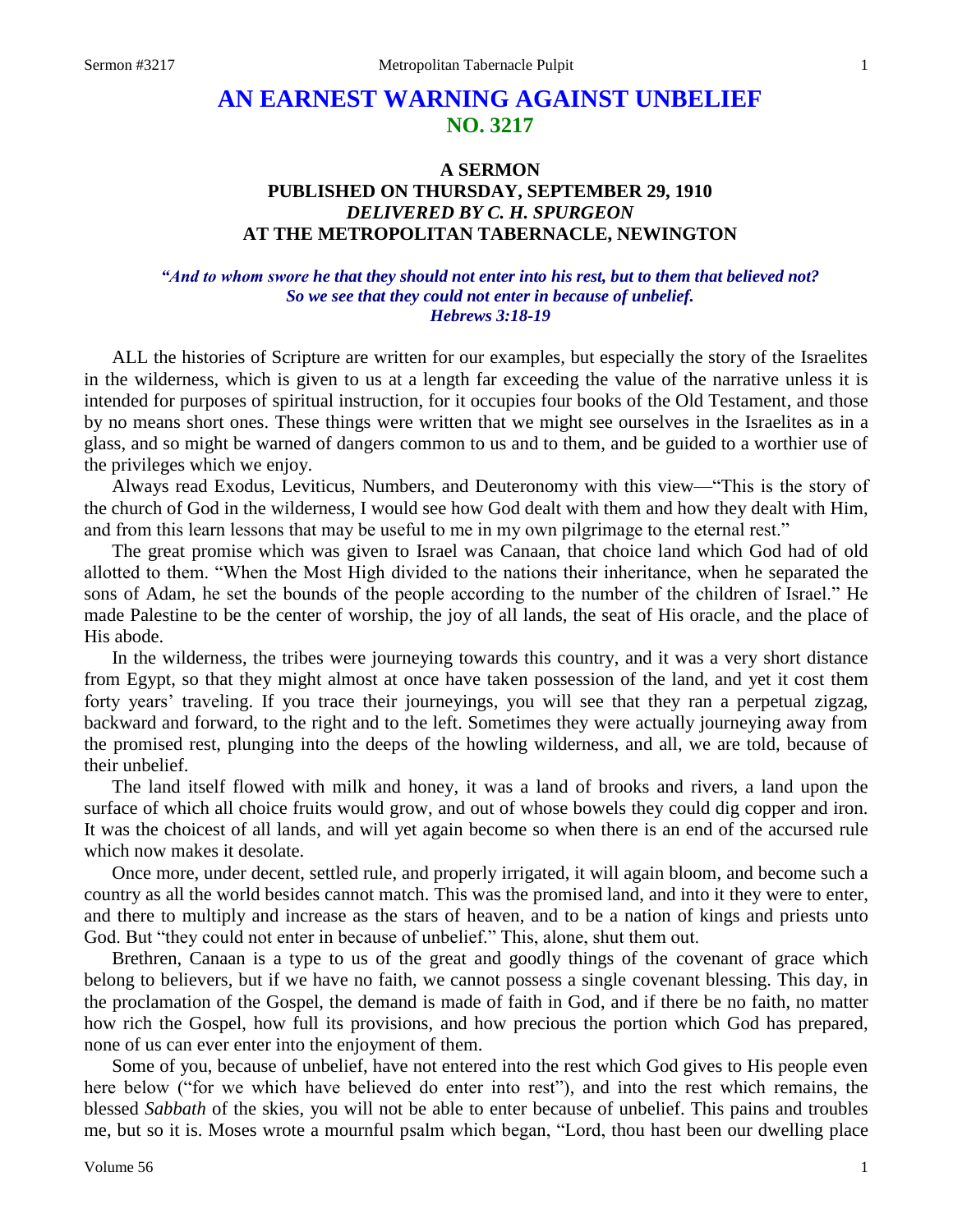# **AN EARNEST WARNING AGAINST UNBELIEF NO. 3217**

## **A SERMON PUBLISHED ON THURSDAY, SEPTEMBER 29, 1910** *DELIVERED BY C. H. SPURGEON* **AT THE METROPOLITAN TABERNACLE, NEWINGTON**

### *"And to whom swore he that they should not enter into his rest, but to them that believed not? So we see that they could not enter in because of unbelief. Hebrews 3:18-19*

ALL the histories of Scripture are written for our examples, but especially the story of the Israelites in the wilderness, which is given to us at a length far exceeding the value of the narrative unless it is intended for purposes of spiritual instruction, for it occupies four books of the Old Testament, and those by no means short ones. These things were written that we might see ourselves in the Israelites as in a glass, and so might be warned of dangers common to us and to them, and be guided to a worthier use of the privileges which we enjoy.

Always read Exodus, Leviticus, Numbers, and Deuteronomy with this view—"This is the story of the church of God in the wilderness, I would see how God dealt with them and how they dealt with Him, and from this learn lessons that may be useful to me in my own pilgrimage to the eternal rest."

The great promise which was given to Israel was Canaan, that choice land which God had of old allotted to them. "When the Most High divided to the nations their inheritance, when he separated the sons of Adam, he set the bounds of the people according to the number of the children of Israel." He made Palestine to be the center of worship, the joy of all lands, the seat of His oracle, and the place of His abode.

In the wilderness, the tribes were journeying towards this country, and it was a very short distance from Egypt, so that they might almost at once have taken possession of the land, and yet it cost them forty years' traveling. If you trace their journeyings, you will see that they ran a perpetual zigzag, backward and forward, to the right and to the left. Sometimes they were actually journeying away from the promised rest, plunging into the deeps of the howling wilderness, and all, we are told, because of their unbelief.

The land itself flowed with milk and honey, it was a land of brooks and rivers, a land upon the surface of which all choice fruits would grow, and out of whose bowels they could dig copper and iron. It was the choicest of all lands, and will yet again become so when there is an end of the accursed rule which now makes it desolate.

Once more, under decent, settled rule, and properly irrigated, it will again bloom, and become such a country as all the world besides cannot match. This was the promised land, and into it they were to enter, and there to multiply and increase as the stars of heaven, and to be a nation of kings and priests unto God. But "they could not enter in because of unbelief." This, alone, shut them out.

Brethren, Canaan is a type to us of the great and goodly things of the covenant of grace which belong to believers, but if we have no faith, we cannot possess a single covenant blessing. This day, in the proclamation of the Gospel, the demand is made of faith in God, and if there be no faith, no matter how rich the Gospel, how full its provisions, and how precious the portion which God has prepared, none of us can ever enter into the enjoyment of them.

Some of you, because of unbelief, have not entered into the rest which God gives to His people even here below ("for we which have believed do enter into rest"), and into the rest which remains, the blessed *Sabbath* of the skies, you will not be able to enter because of unbelief. This pains and troubles me, but so it is. Moses wrote a mournful psalm which began, "Lord, thou hast been our dwelling place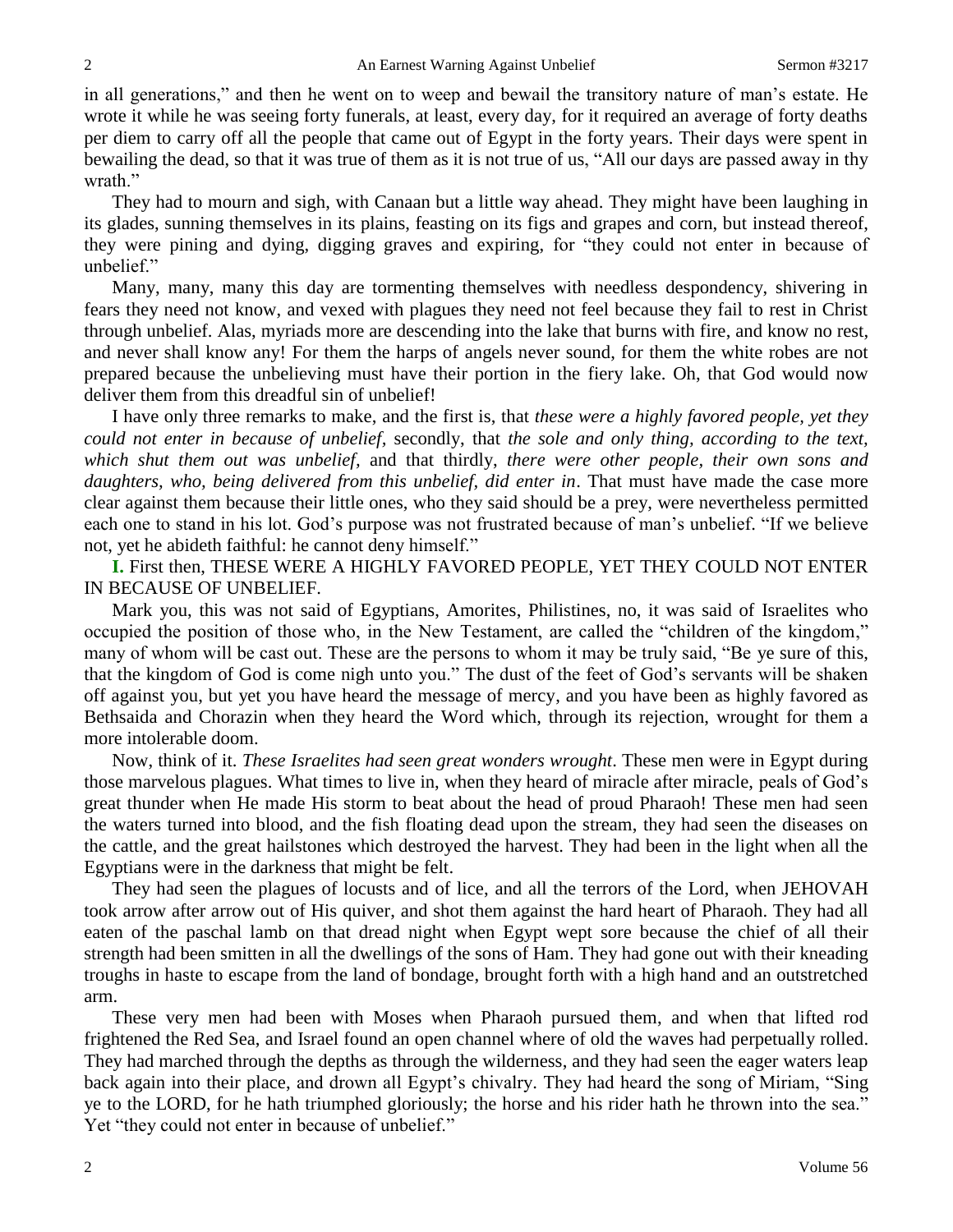in all generations," and then he went on to weep and bewail the transitory nature of man's estate. He wrote it while he was seeing forty funerals, at least, every day, for it required an average of forty deaths per diem to carry off all the people that came out of Egypt in the forty years. Their days were spent in bewailing the dead, so that it was true of them as it is not true of us, "All our days are passed away in thy wrath."

They had to mourn and sigh, with Canaan but a little way ahead. They might have been laughing in its glades, sunning themselves in its plains, feasting on its figs and grapes and corn, but instead thereof, they were pining and dying, digging graves and expiring, for "they could not enter in because of unbelief."

Many, many, many this day are tormenting themselves with needless despondency, shivering in fears they need not know, and vexed with plagues they need not feel because they fail to rest in Christ through unbelief. Alas, myriads more are descending into the lake that burns with fire, and know no rest, and never shall know any! For them the harps of angels never sound, for them the white robes are not prepared because the unbelieving must have their portion in the fiery lake. Oh, that God would now deliver them from this dreadful sin of unbelief!

I have only three remarks to make, and the first is, that *these were a highly favored people, yet they could not enter in because of unbelief,* secondly, that *the sole and only thing, according to the text, which shut them out was unbelief,* and that thirdly, *there were other people, their own sons and daughters, who, being delivered from this unbelief, did enter in*. That must have made the case more clear against them because their little ones, who they said should be a prey, were nevertheless permitted each one to stand in his lot. God's purpose was not frustrated because of man's unbelief. "If we believe not, yet he abideth faithful: he cannot deny himself."

**I.** First then, THESE WERE A HIGHLY FAVORED PEOPLE, YET THEY COULD NOT ENTER IN BECAUSE OF UNBELIEF.

Mark you, this was not said of Egyptians, Amorites, Philistines, no, it was said of Israelites who occupied the position of those who, in the New Testament, are called the "children of the kingdom," many of whom will be cast out. These are the persons to whom it may be truly said, "Be ye sure of this, that the kingdom of God is come nigh unto you." The dust of the feet of God's servants will be shaken off against you, but yet you have heard the message of mercy, and you have been as highly favored as Bethsaida and Chorazin when they heard the Word which, through its rejection, wrought for them a more intolerable doom.

Now, think of it. *These Israelites had seen great wonders wrought*. These men were in Egypt during those marvelous plagues. What times to live in, when they heard of miracle after miracle, peals of God's great thunder when He made His storm to beat about the head of proud Pharaoh! These men had seen the waters turned into blood, and the fish floating dead upon the stream, they had seen the diseases on the cattle, and the great hailstones which destroyed the harvest. They had been in the light when all the Egyptians were in the darkness that might be felt.

They had seen the plagues of locusts and of lice, and all the terrors of the Lord, when JEHOVAH took arrow after arrow out of His quiver, and shot them against the hard heart of Pharaoh. They had all eaten of the paschal lamb on that dread night when Egypt wept sore because the chief of all their strength had been smitten in all the dwellings of the sons of Ham. They had gone out with their kneading troughs in haste to escape from the land of bondage, brought forth with a high hand and an outstretched arm.

These very men had been with Moses when Pharaoh pursued them, and when that lifted rod frightened the Red Sea, and Israel found an open channel where of old the waves had perpetually rolled. They had marched through the depths as through the wilderness, and they had seen the eager waters leap back again into their place, and drown all Egypt's chivalry. They had heard the song of Miriam, "Sing ye to the LORD, for he hath triumphed gloriously; the horse and his rider hath he thrown into the sea." Yet "they could not enter in because of unbelief."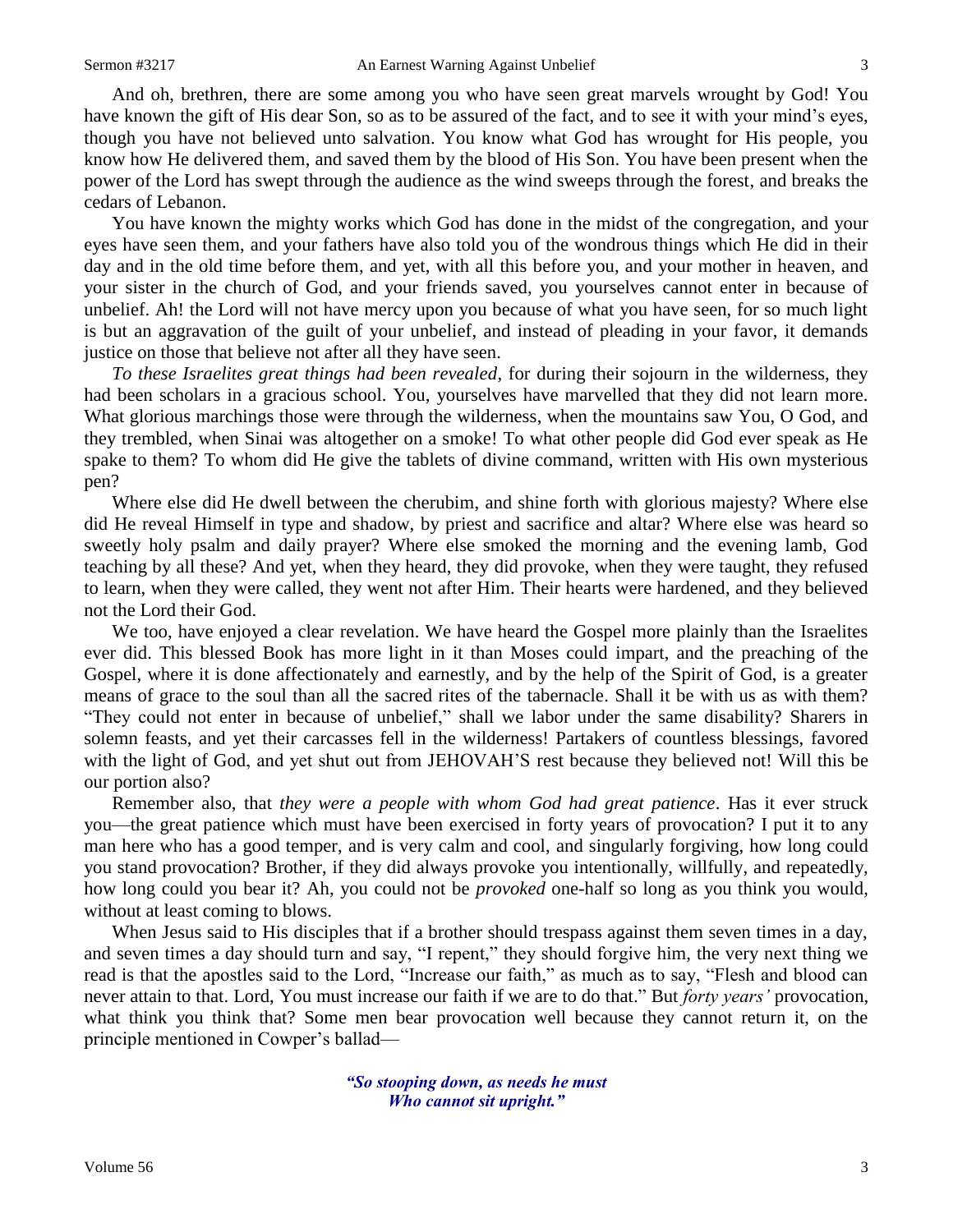And oh, brethren, there are some among you who have seen great marvels wrought by God! You have known the gift of His dear Son, so as to be assured of the fact, and to see it with your mind's eyes, though you have not believed unto salvation. You know what God has wrought for His people, you know how He delivered them, and saved them by the blood of His Son. You have been present when the power of the Lord has swept through the audience as the wind sweeps through the forest, and breaks the cedars of Lebanon.

You have known the mighty works which God has done in the midst of the congregation, and your eyes have seen them, and your fathers have also told you of the wondrous things which He did in their day and in the old time before them, and yet, with all this before you, and your mother in heaven, and your sister in the church of God, and your friends saved, you yourselves cannot enter in because of unbelief. Ah! the Lord will not have mercy upon you because of what you have seen, for so much light is but an aggravation of the guilt of your unbelief, and instead of pleading in your favor, it demands justice on those that believe not after all they have seen.

*To these Israelites great things had been revealed,* for during their sojourn in the wilderness, they had been scholars in a gracious school. You, yourselves have marvelled that they did not learn more. What glorious marchings those were through the wilderness, when the mountains saw You, O God, and they trembled, when Sinai was altogether on a smoke! To what other people did God ever speak as He spake to them? To whom did He give the tablets of divine command, written with His own mysterious pen?

Where else did He dwell between the cherubim, and shine forth with glorious majesty? Where else did He reveal Himself in type and shadow, by priest and sacrifice and altar? Where else was heard so sweetly holy psalm and daily prayer? Where else smoked the morning and the evening lamb, God teaching by all these? And yet, when they heard, they did provoke, when they were taught, they refused to learn, when they were called, they went not after Him. Their hearts were hardened, and they believed not the Lord their God.

We too, have enjoyed a clear revelation. We have heard the Gospel more plainly than the Israelites ever did. This blessed Book has more light in it than Moses could impart, and the preaching of the Gospel, where it is done affectionately and earnestly, and by the help of the Spirit of God, is a greater means of grace to the soul than all the sacred rites of the tabernacle. Shall it be with us as with them? "They could not enter in because of unbelief," shall we labor under the same disability? Sharers in solemn feasts, and yet their carcasses fell in the wilderness! Partakers of countless blessings, favored with the light of God, and yet shut out from JEHOVAH'S rest because they believed not! Will this be our portion also?

Remember also, that *they were a people with whom God had great patience*. Has it ever struck you—the great patience which must have been exercised in forty years of provocation? I put it to any man here who has a good temper, and is very calm and cool, and singularly forgiving, how long could you stand provocation? Brother, if they did always provoke you intentionally, willfully, and repeatedly, how long could you bear it? Ah, you could not be *provoked* one-half so long as you think you would, without at least coming to blows.

When Jesus said to His disciples that if a brother should trespass against them seven times in a day, and seven times a day should turn and say, "I repent," they should forgive him, the very next thing we read is that the apostles said to the Lord, "Increase our faith," as much as to say, "Flesh and blood can never attain to that. Lord, You must increase our faith if we are to do that." But *forty years'* provocation, what think you think that? Some men bear provocation well because they cannot return it, on the principle mentioned in Cowper's ballad—

> *"So stooping down, as needs he must Who cannot sit upright."*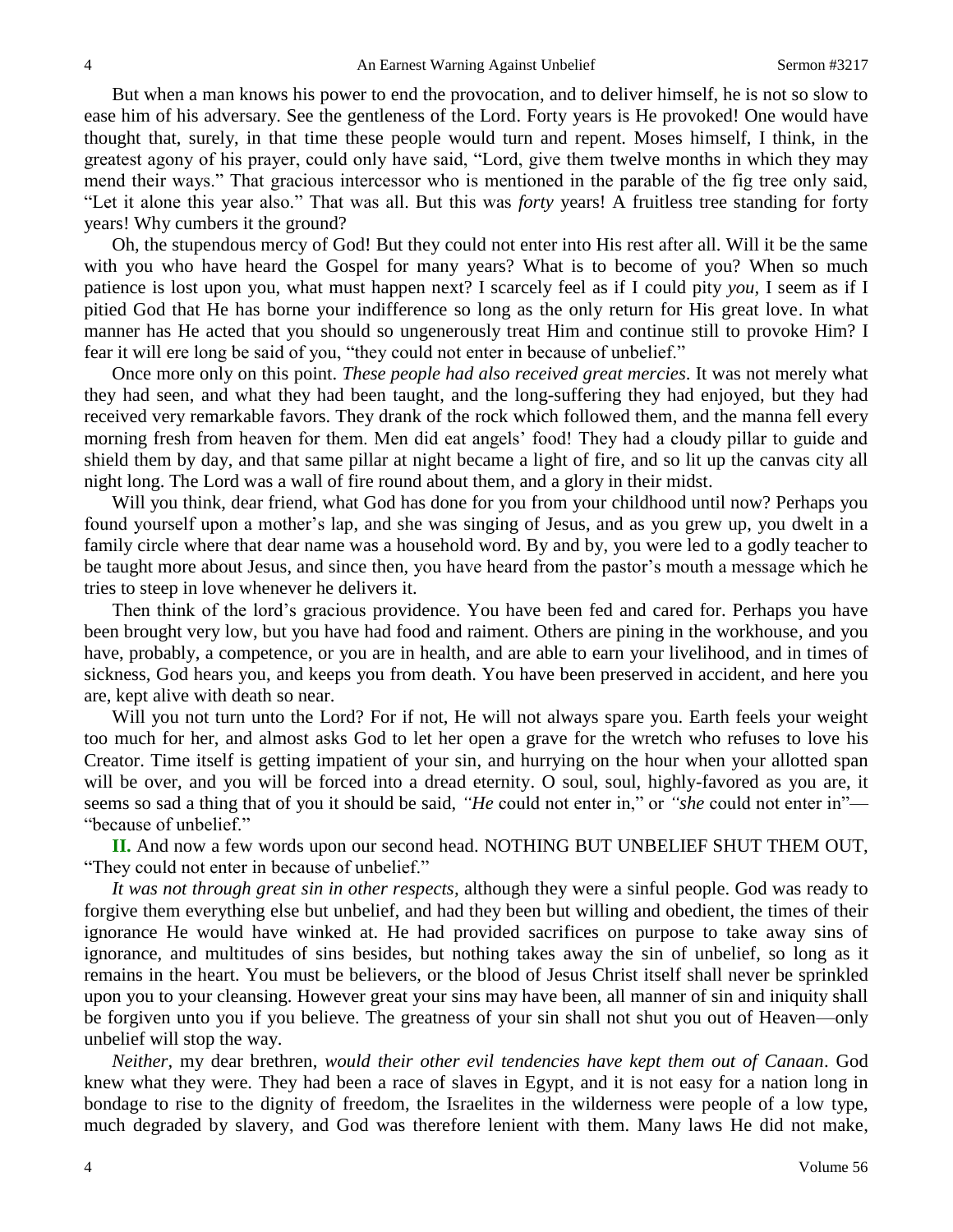But when a man knows his power to end the provocation, and to deliver himself, he is not so slow to ease him of his adversary. See the gentleness of the Lord. Forty years is He provoked! One would have thought that, surely, in that time these people would turn and repent. Moses himself, I think, in the greatest agony of his prayer, could only have said, "Lord, give them twelve months in which they may mend their ways." That gracious intercessor who is mentioned in the parable of the fig tree only said, "Let it alone this year also." That was all. But this was *forty* years! A fruitless tree standing for forty years! Why cumbers it the ground?

Oh, the stupendous mercy of God! But they could not enter into His rest after all. Will it be the same with you who have heard the Gospel for many years? What is to become of you? When so much patience is lost upon you, what must happen next? I scarcely feel as if I could pity *you,* I seem as if I pitied God that He has borne your indifference so long as the only return for His great love. In what manner has He acted that you should so ungenerously treat Him and continue still to provoke Him? I fear it will ere long be said of you, "they could not enter in because of unbelief."

Once more only on this point. *These people had also received great mercies*. It was not merely what they had seen, and what they had been taught, and the long-suffering they had enjoyed, but they had received very remarkable favors. They drank of the rock which followed them, and the manna fell every morning fresh from heaven for them. Men did eat angels' food! They had a cloudy pillar to guide and shield them by day, and that same pillar at night became a light of fire, and so lit up the canvas city all night long. The Lord was a wall of fire round about them, and a glory in their midst.

Will you think, dear friend, what God has done for you from your childhood until now? Perhaps you found yourself upon a mother's lap, and she was singing of Jesus, and as you grew up, you dwelt in a family circle where that dear name was a household word. By and by, you were led to a godly teacher to be taught more about Jesus, and since then, you have heard from the pastor's mouth a message which he tries to steep in love whenever he delivers it.

Then think of the lord's gracious providence. You have been fed and cared for. Perhaps you have been brought very low, but you have had food and raiment. Others are pining in the workhouse, and you have, probably, a competence, or you are in health, and are able to earn your livelihood, and in times of sickness, God hears you, and keeps you from death. You have been preserved in accident, and here you are, kept alive with death so near.

Will you not turn unto the Lord? For if not, He will not always spare you. Earth feels your weight too much for her, and almost asks God to let her open a grave for the wretch who refuses to love his Creator. Time itself is getting impatient of your sin, and hurrying on the hour when your allotted span will be over, and you will be forced into a dread eternity. O soul, soul, highly-favored as you are, it seems so sad a thing that of you it should be said, *"He* could not enter in," or *"she* could not enter in"— "because of unbelief."

**II.** And now a few words upon our second head. NOTHING BUT UNBELIEF SHUT THEM OUT, "They could not enter in because of unbelief."

*It was not through great sin in other respects,* although they were a sinful people. God was ready to forgive them everything else but unbelief, and had they been but willing and obedient, the times of their ignorance He would have winked at. He had provided sacrifices on purpose to take away sins of ignorance, and multitudes of sins besides, but nothing takes away the sin of unbelief, so long as it remains in the heart. You must be believers, or the blood of Jesus Christ itself shall never be sprinkled upon you to your cleansing. However great your sins may have been, all manner of sin and iniquity shall be forgiven unto you if you believe. The greatness of your sin shall not shut you out of Heaven—only unbelief will stop the way.

*Neither,* my dear brethren, *would their other evil tendencies have kept them out of Canaan*. God knew what they were. They had been a race of slaves in Egypt, and it is not easy for a nation long in bondage to rise to the dignity of freedom, the Israelites in the wilderness were people of a low type, much degraded by slavery, and God was therefore lenient with them. Many laws He did not make,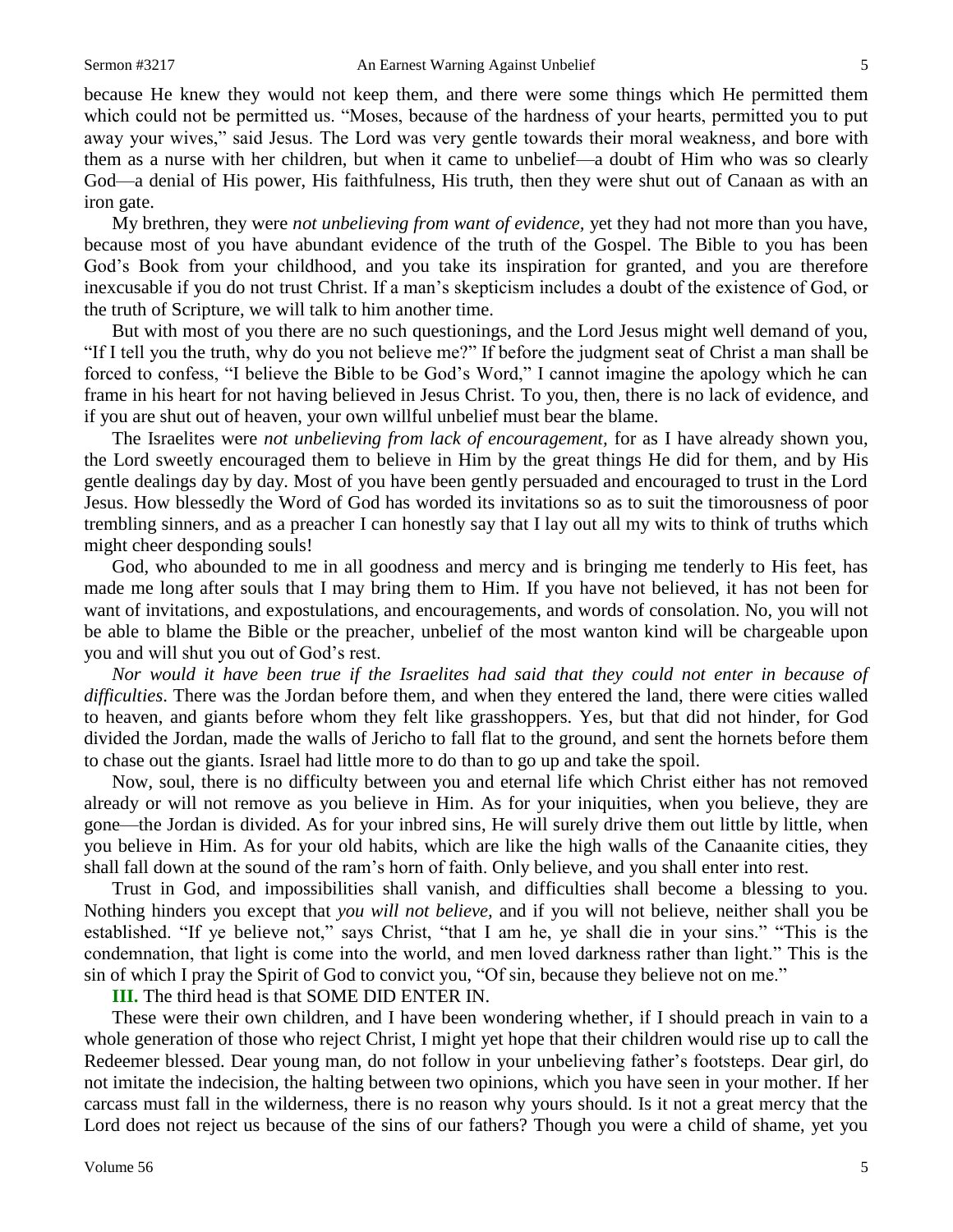because He knew they would not keep them, and there were some things which He permitted them which could not be permitted us. "Moses, because of the hardness of your hearts, permitted you to put away your wives," said Jesus. The Lord was very gentle towards their moral weakness, and bore with them as a nurse with her children, but when it came to unbelief—a doubt of Him who was so clearly God—a denial of His power, His faithfulness, His truth, then they were shut out of Canaan as with an iron gate.

My brethren, they were *not unbelieving from want of evidence,* yet they had not more than you have, because most of you have abundant evidence of the truth of the Gospel. The Bible to you has been God's Book from your childhood, and you take its inspiration for granted, and you are therefore inexcusable if you do not trust Christ. If a man's skepticism includes a doubt of the existence of God, or the truth of Scripture, we will talk to him another time.

But with most of you there are no such questionings, and the Lord Jesus might well demand of you, "If I tell you the truth, why do you not believe me?" If before the judgment seat of Christ a man shall be forced to confess, "I believe the Bible to be God's Word," I cannot imagine the apology which he can frame in his heart for not having believed in Jesus Christ. To you, then, there is no lack of evidence, and if you are shut out of heaven, your own willful unbelief must bear the blame.

The Israelites were *not unbelieving from lack of encouragement,* for as I have already shown you, the Lord sweetly encouraged them to believe in Him by the great things He did for them, and by His gentle dealings day by day. Most of you have been gently persuaded and encouraged to trust in the Lord Jesus. How blessedly the Word of God has worded its invitations so as to suit the timorousness of poor trembling sinners, and as a preacher I can honestly say that I lay out all my wits to think of truths which might cheer desponding souls!

God, who abounded to me in all goodness and mercy and is bringing me tenderly to His feet, has made me long after souls that I may bring them to Him. If you have not believed, it has not been for want of invitations, and expostulations, and encouragements, and words of consolation. No, you will not be able to blame the Bible or the preacher, unbelief of the most wanton kind will be chargeable upon you and will shut you out of God's rest.

*Nor would it have been true if the Israelites had said that they could not enter in because of difficulties*. There was the Jordan before them, and when they entered the land, there were cities walled to heaven, and giants before whom they felt like grasshoppers. Yes, but that did not hinder, for God divided the Jordan, made the walls of Jericho to fall flat to the ground, and sent the hornets before them to chase out the giants. Israel had little more to do than to go up and take the spoil.

Now, soul, there is no difficulty between you and eternal life which Christ either has not removed already or will not remove as you believe in Him. As for your iniquities, when you believe, they are gone—the Jordan is divided. As for your inbred sins, He will surely drive them out little by little, when you believe in Him. As for your old habits, which are like the high walls of the Canaanite cities, they shall fall down at the sound of the ram's horn of faith. Only believe, and you shall enter into rest.

Trust in God, and impossibilities shall vanish, and difficulties shall become a blessing to you. Nothing hinders you except that *you will not believe,* and if you will not believe, neither shall you be established. "If ye believe not," says Christ, "that I am he, ye shall die in your sins." "This is the condemnation, that light is come into the world, and men loved darkness rather than light." This is the sin of which I pray the Spirit of God to convict you, "Of sin, because they believe not on me."

**III.** The third head is that SOME DID ENTER IN.

These were their own children, and I have been wondering whether, if I should preach in vain to a whole generation of those who reject Christ, I might yet hope that their children would rise up to call the Redeemer blessed. Dear young man, do not follow in your unbelieving father's footsteps. Dear girl, do not imitate the indecision, the halting between two opinions, which you have seen in your mother. If her carcass must fall in the wilderness, there is no reason why yours should. Is it not a great mercy that the Lord does not reject us because of the sins of our fathers? Though you were a child of shame, yet you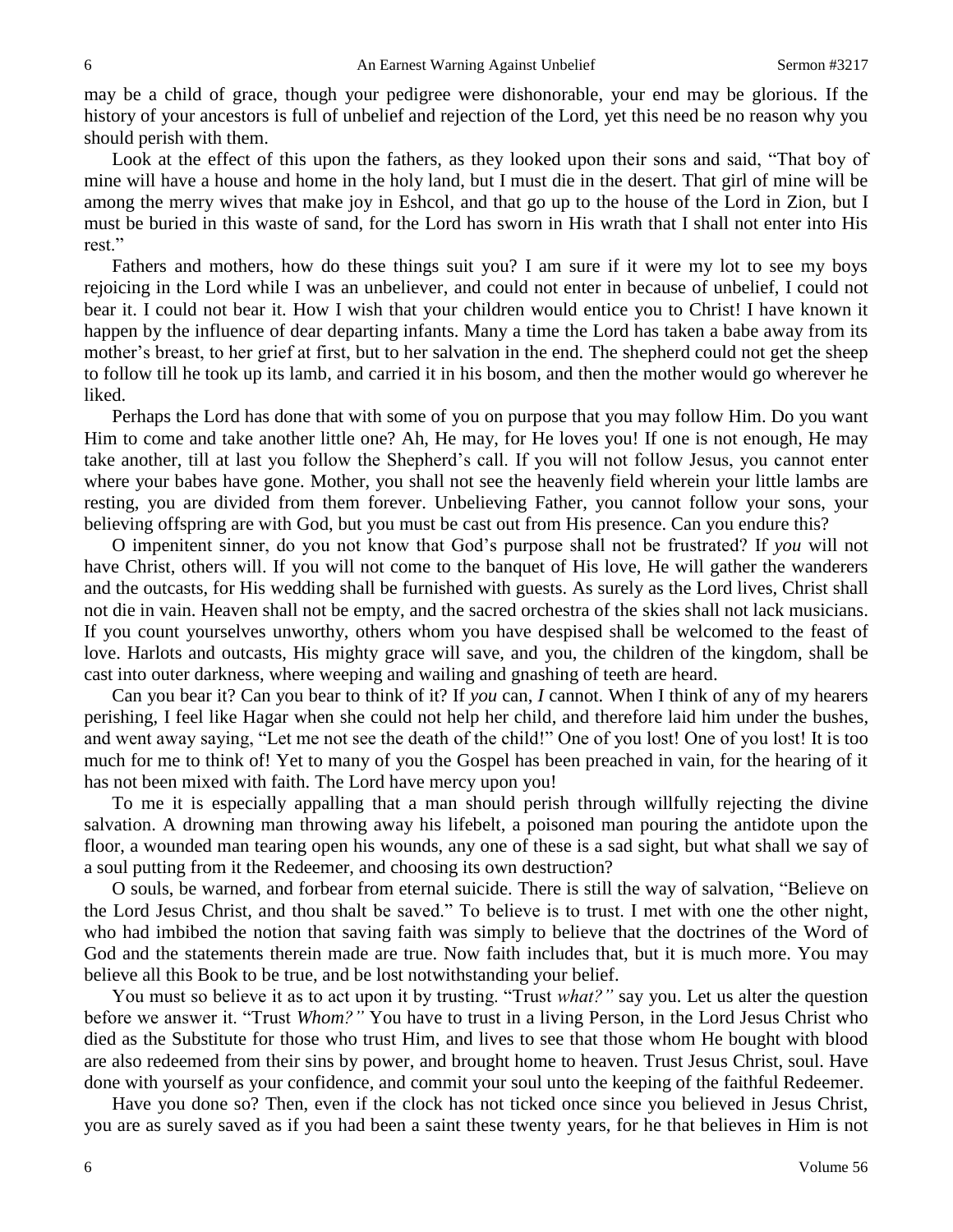may be a child of grace, though your pedigree were dishonorable, your end may be glorious. If the history of your ancestors is full of unbelief and rejection of the Lord, yet this need be no reason why you should perish with them.

Look at the effect of this upon the fathers, as they looked upon their sons and said, "That boy of mine will have a house and home in the holy land, but I must die in the desert. That girl of mine will be among the merry wives that make joy in Eshcol, and that go up to the house of the Lord in Zion, but I must be buried in this waste of sand, for the Lord has sworn in His wrath that I shall not enter into His rest."

Fathers and mothers, how do these things suit you? I am sure if it were my lot to see my boys rejoicing in the Lord while I was an unbeliever, and could not enter in because of unbelief, I could not bear it. I could not bear it. How I wish that your children would entice you to Christ! I have known it happen by the influence of dear departing infants. Many a time the Lord has taken a babe away from its mother's breast, to her grief at first, but to her salvation in the end. The shepherd could not get the sheep to follow till he took up its lamb, and carried it in his bosom, and then the mother would go wherever he liked.

Perhaps the Lord has done that with some of you on purpose that you may follow Him. Do you want Him to come and take another little one? Ah, He may, for He loves you! If one is not enough, He may take another, till at last you follow the Shepherd's call. If you will not follow Jesus, you cannot enter where your babes have gone. Mother, you shall not see the heavenly field wherein your little lambs are resting, you are divided from them forever. Unbelieving Father, you cannot follow your sons, your believing offspring are with God, but you must be cast out from His presence. Can you endure this?

O impenitent sinner, do you not know that God's purpose shall not be frustrated? If *you* will not have Christ, others will. If you will not come to the banquet of His love, He will gather the wanderers and the outcasts, for His wedding shall be furnished with guests. As surely as the Lord lives, Christ shall not die in vain. Heaven shall not be empty, and the sacred orchestra of the skies shall not lack musicians. If you count yourselves unworthy, others whom you have despised shall be welcomed to the feast of love. Harlots and outcasts, His mighty grace will save, and you, the children of the kingdom, shall be cast into outer darkness, where weeping and wailing and gnashing of teeth are heard.

Can you bear it? Can you bear to think of it? If *you* can, *I* cannot. When I think of any of my hearers perishing, I feel like Hagar when she could not help her child, and therefore laid him under the bushes, and went away saying, "Let me not see the death of the child!" One of you lost! One of you lost! It is too much for me to think of! Yet to many of you the Gospel has been preached in vain, for the hearing of it has not been mixed with faith. The Lord have mercy upon you!

To me it is especially appalling that a man should perish through willfully rejecting the divine salvation. A drowning man throwing away his lifebelt, a poisoned man pouring the antidote upon the floor, a wounded man tearing open his wounds, any one of these is a sad sight, but what shall we say of a soul putting from it the Redeemer, and choosing its own destruction?

O souls, be warned, and forbear from eternal suicide. There is still the way of salvation, "Believe on the Lord Jesus Christ, and thou shalt be saved." To believe is to trust. I met with one the other night, who had imbibed the notion that saving faith was simply to believe that the doctrines of the Word of God and the statements therein made are true. Now faith includes that, but it is much more. You may believe all this Book to be true, and be lost notwithstanding your belief.

You must so believe it as to act upon it by trusting. "Trust *what?"* say you. Let us alter the question before we answer it. "Trust *Whom?"* You have to trust in a living Person, in the Lord Jesus Christ who died as the Substitute for those who trust Him, and lives to see that those whom He bought with blood are also redeemed from their sins by power, and brought home to heaven. Trust Jesus Christ, soul. Have done with yourself as your confidence, and commit your soul unto the keeping of the faithful Redeemer.

Have you done so? Then, even if the clock has not ticked once since you believed in Jesus Christ, you are as surely saved as if you had been a saint these twenty years, for he that believes in Him is not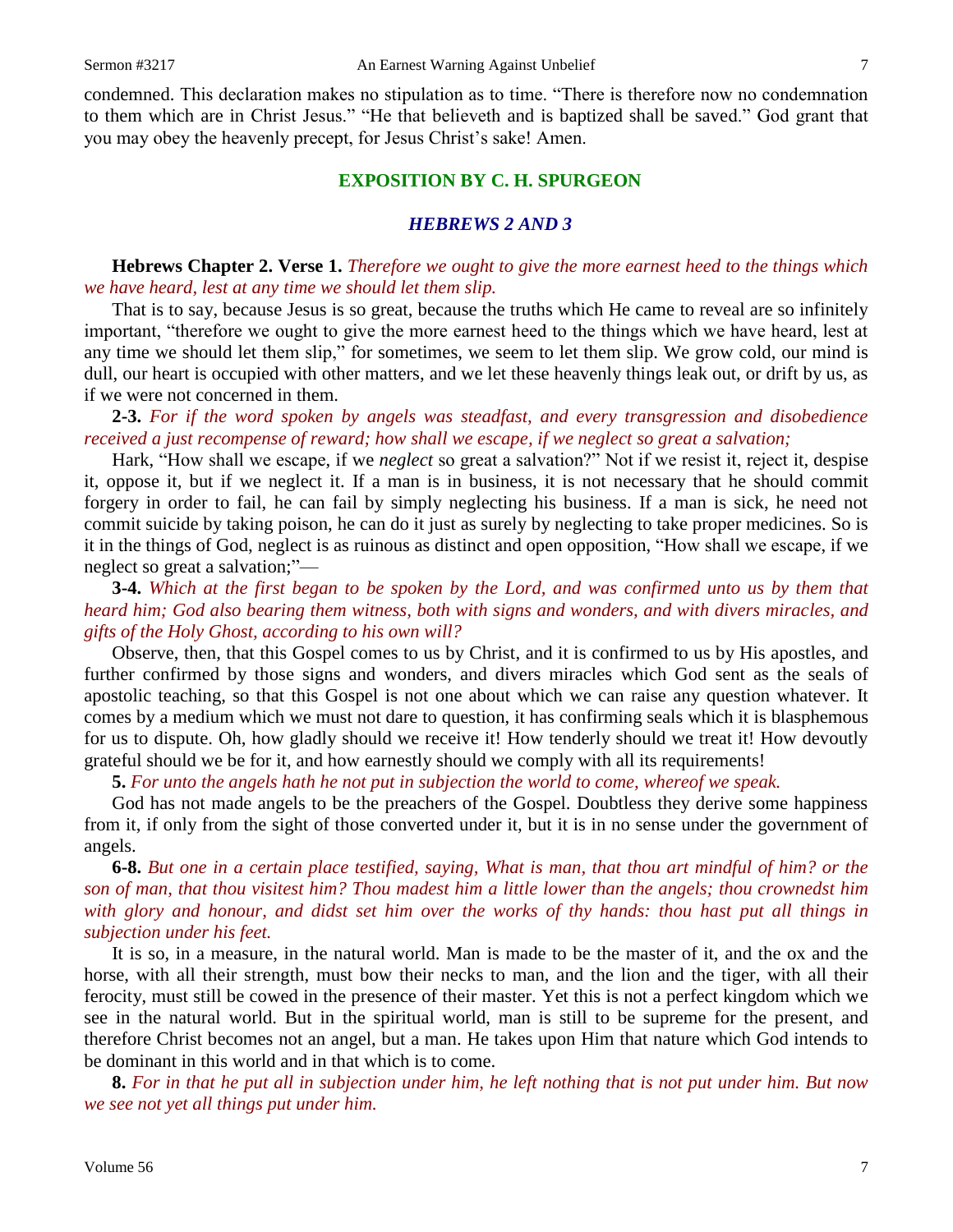condemned. This declaration makes no stipulation as to time. "There is therefore now no condemnation to them which are in Christ Jesus." "He that believeth and is baptized shall be saved." God grant that you may obey the heavenly precept, for Jesus Christ's sake! Amen.

## **EXPOSITION BY C. H. SPURGEON**

#### *HEBREWS 2 AND 3*

## **Hebrews Chapter 2. Verse 1.** *Therefore we ought to give the more earnest heed to the things which we have heard, lest at any time we should let them slip.*

That is to say, because Jesus is so great, because the truths which He came to reveal are so infinitely important, "therefore we ought to give the more earnest heed to the things which we have heard, lest at any time we should let them slip," for sometimes, we seem to let them slip. We grow cold, our mind is dull, our heart is occupied with other matters, and we let these heavenly things leak out, or drift by us, as if we were not concerned in them.

**2-3.** *For if the word spoken by angels was steadfast, and every transgression and disobedience received a just recompense of reward; how shall we escape, if we neglect so great a salvation;*

Hark, "How shall we escape, if we *neglect* so great a salvation?" Not if we resist it, reject it, despise it, oppose it, but if we neglect it. If a man is in business, it is not necessary that he should commit forgery in order to fail, he can fail by simply neglecting his business. If a man is sick, he need not commit suicide by taking poison, he can do it just as surely by neglecting to take proper medicines. So is it in the things of God, neglect is as ruinous as distinct and open opposition, "How shall we escape, if we neglect so great a salvation;"—

**3-4.** *Which at the first began to be spoken by the Lord, and was confirmed unto us by them that heard him; God also bearing them witness, both with signs and wonders, and with divers miracles, and gifts of the Holy Ghost, according to his own will?*

Observe, then, that this Gospel comes to us by Christ, and it is confirmed to us by His apostles, and further confirmed by those signs and wonders, and divers miracles which God sent as the seals of apostolic teaching, so that this Gospel is not one about which we can raise any question whatever. It comes by a medium which we must not dare to question, it has confirming seals which it is blasphemous for us to dispute. Oh, how gladly should we receive it! How tenderly should we treat it! How devoutly grateful should we be for it, and how earnestly should we comply with all its requirements!

**5.** *For unto the angels hath he not put in subjection the world to come, whereof we speak.*

God has not made angels to be the preachers of the Gospel. Doubtless they derive some happiness from it, if only from the sight of those converted under it, but it is in no sense under the government of angels.

**6-8.** *But one in a certain place testified, saying, What is man, that thou art mindful of him? or the son of man, that thou visitest him? Thou madest him a little lower than the angels; thou crownedst him with glory and honour, and didst set him over the works of thy hands: thou hast put all things in subjection under his feet.*

It is so, in a measure, in the natural world. Man is made to be the master of it, and the ox and the horse, with all their strength, must bow their necks to man, and the lion and the tiger, with all their ferocity, must still be cowed in the presence of their master. Yet this is not a perfect kingdom which we see in the natural world. But in the spiritual world, man is still to be supreme for the present, and therefore Christ becomes not an angel, but a man. He takes upon Him that nature which God intends to be dominant in this world and in that which is to come.

**8.** *For in that he put all in subjection under him, he left nothing that is not put under him. But now we see not yet all things put under him.*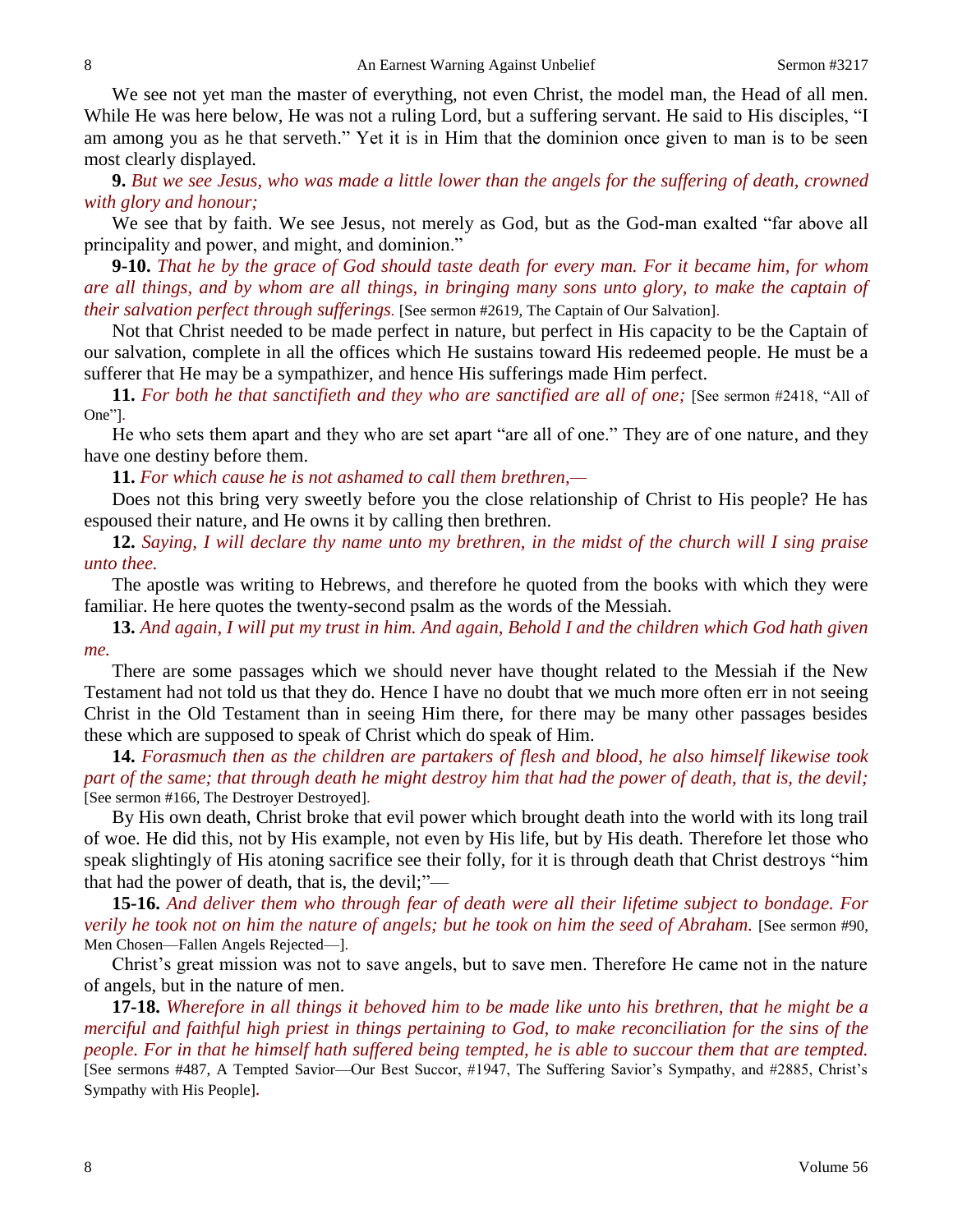We see not yet man the master of everything, not even Christ, the model man, the Head of all men. While He was here below, He was not a ruling Lord, but a suffering servant. He said to His disciples, "I am among you as he that serveth." Yet it is in Him that the dominion once given to man is to be seen most clearly displayed.

**9.** *But we see Jesus, who was made a little lower than the angels for the suffering of death, crowned with glory and honour;*

We see that by faith. We see Jesus, not merely as God, but as the God-man exalted "far above all principality and power, and might, and dominion."

**9-10.** *That he by the grace of God should taste death for every man. For it became him, for whom are all things, and by whom are all things, in bringing many sons unto glory, to make the captain of their salvation perfect through sufferings*. [See sermon #2619, The Captain of Our Salvation].

Not that Christ needed to be made perfect in nature, but perfect in His capacity to be the Captain of our salvation, complete in all the offices which He sustains toward His redeemed people. He must be a sufferer that He may be a sympathizer, and hence His sufferings made Him perfect.

**11.** *For both he that sanctifieth and they who are sanctified are all of one;* [See sermon #2418, "All of One"].

He who sets them apart and they who are set apart "are all of one." They are of one nature, and they have one destiny before them.

**11.** *For which cause he is not ashamed to call them brethren,—*

Does not this bring very sweetly before you the close relationship of Christ to His people? He has espoused their nature, and He owns it by calling then brethren.

**12.** *Saying, I will declare thy name unto my brethren, in the midst of the church will I sing praise unto thee.*

The apostle was writing to Hebrews, and therefore he quoted from the books with which they were familiar. He here quotes the twenty-second psalm as the words of the Messiah.

**13.** *And again, I will put my trust in him. And again, Behold I and the children which God hath given me.*

There are some passages which we should never have thought related to the Messiah if the New Testament had not told us that they do. Hence I have no doubt that we much more often err in not seeing Christ in the Old Testament than in seeing Him there, for there may be many other passages besides these which are supposed to speak of Christ which do speak of Him.

**14.** *Forasmuch then as the children are partakers of flesh and blood, he also himself likewise took part of the same; that through death he might destroy him that had the power of death, that is, the devil;* [See sermon #166, The Destroyer Destroyed].

By His own death, Christ broke that evil power which brought death into the world with its long trail of woe. He did this, not by His example, not even by His life, but by His death. Therefore let those who speak slightingly of His atoning sacrifice see their folly, for it is through death that Christ destroys "him that had the power of death, that is, the devil;"—

**15-16.** *And deliver them who through fear of death were all their lifetime subject to bondage. For verily he took not on him the nature of angels; but he took on him the seed of Abraham.* [See sermon #90, Men Chosen—Fallen Angels Rejected—].

Christ's great mission was not to save angels, but to save men. Therefore He came not in the nature of angels, but in the nature of men.

**17-18.** *Wherefore in all things it behoved him to be made like unto his brethren, that he might be a merciful and faithful high priest in things pertaining to God, to make reconciliation for the sins of the people. For in that he himself hath suffered being tempted, he is able to succour them that are tempted.*  [See sermons #487, A Tempted Savior—Our Best Succor, #1947, The Suffering Savior's Sympathy, and #2885, Christ's Sympathy with His People]*.*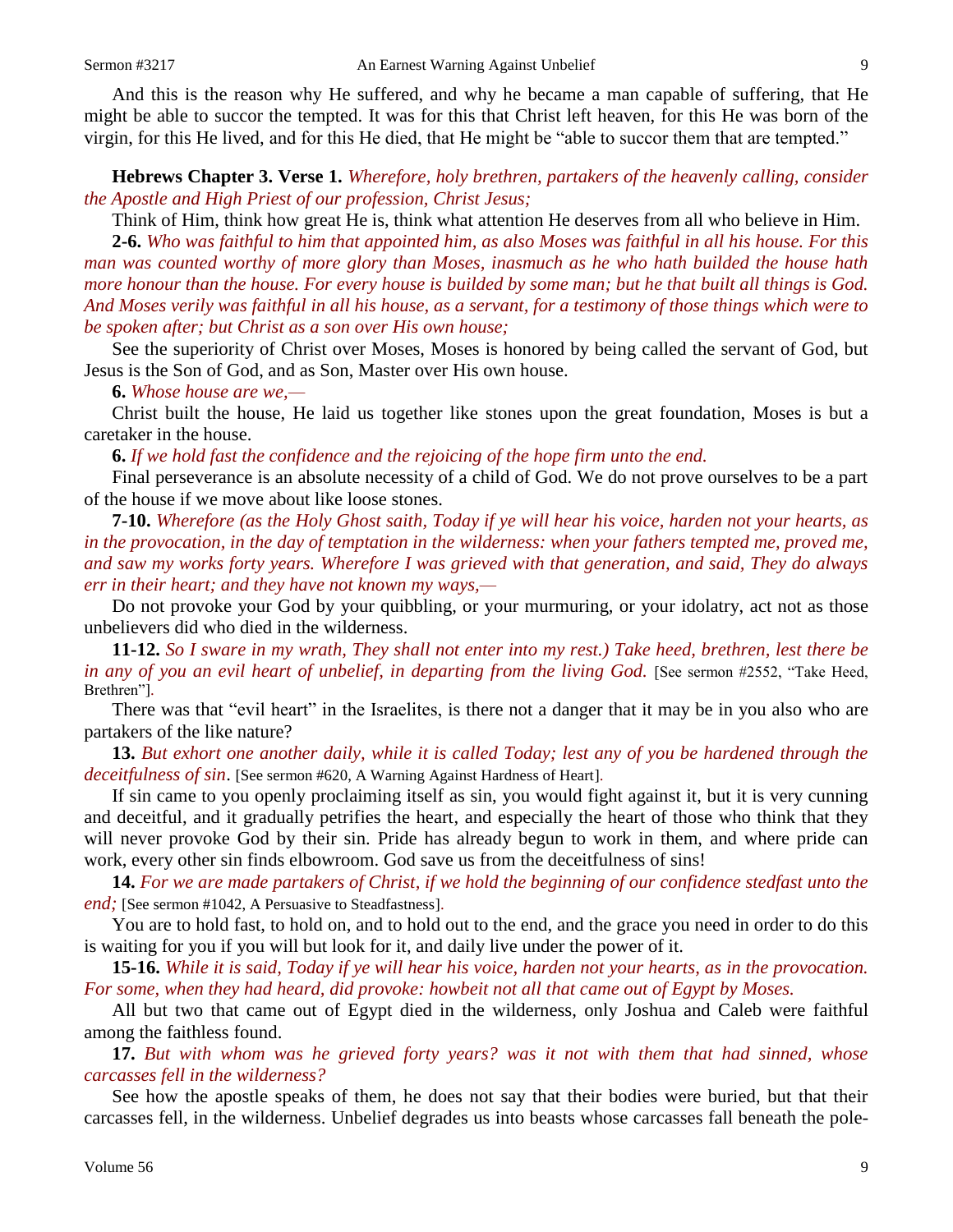And this is the reason why He suffered, and why he became a man capable of suffering, that He might be able to succor the tempted. It was for this that Christ left heaven, for this He was born of the virgin, for this He lived, and for this He died, that He might be "able to succor them that are tempted."

**Hebrews Chapter 3. Verse 1.** *Wherefore, holy brethren, partakers of the heavenly calling, consider the Apostle and High Priest of our profession, Christ Jesus;*

Think of Him, think how great He is, think what attention He deserves from all who believe in Him.

**2-6.** *Who was faithful to him that appointed him, as also Moses was faithful in all his house. For this man was counted worthy of more glory than Moses, inasmuch as he who hath builded the house hath more honour than the house. For every house is builded by some man; but he that built all things is God. And Moses verily was faithful in all his house, as a servant, for a testimony of those things which were to be spoken after; but Christ as a son over His own house;*

See the superiority of Christ over Moses, Moses is honored by being called the servant of God, but Jesus is the Son of God, and as Son, Master over His own house.

**6.** *Whose house are we,—*

Christ built the house, He laid us together like stones upon the great foundation, Moses is but a caretaker in the house.

**6.** *If we hold fast the confidence and the rejoicing of the hope firm unto the end.*

Final perseverance is an absolute necessity of a child of God. We do not prove ourselves to be a part of the house if we move about like loose stones.

**7-10.** *Wherefore (as the Holy Ghost saith, Today if ye will hear his voice, harden not your hearts, as*  in the provocation, in the day of temptation in the wilderness: when your fathers tempted me, proved me, *and saw my works forty years. Wherefore I was grieved with that generation, and said, They do always err in their heart; and they have not known my ways,—*

Do not provoke your God by your quibbling, or your murmuring, or your idolatry, act not as those unbelievers did who died in the wilderness.

**11-12.** *So I sware in my wrath, They shall not enter into my rest.) Take heed, brethren, lest there be in any of you an evil heart of unbelief, in departing from the living God.* [See sermon #2552, "Take Heed, Brethren"].

There was that "evil heart" in the Israelites, is there not a danger that it may be in you also who are partakers of the like nature?

**13.** *But exhort one another daily, while it is called Today; lest any of you be hardened through the deceitfulness of sin*. [See sermon #620, A Warning Against Hardness of Heart].

If sin came to you openly proclaiming itself as sin, you would fight against it, but it is very cunning and deceitful, and it gradually petrifies the heart, and especially the heart of those who think that they will never provoke God by their sin. Pride has already begun to work in them, and where pride can work, every other sin finds elbowroom. God save us from the deceitfulness of sins!

**14.** *For we are made partakers of Christ, if we hold the beginning of our confidence stedfast unto the end*; [See sermon #1042, A Persuasive to Steadfastness].

You are to hold fast, to hold on, and to hold out to the end, and the grace you need in order to do this is waiting for you if you will but look for it, and daily live under the power of it.

**15-16.** *While it is said, Today if ye will hear his voice, harden not your hearts, as in the provocation. For some, when they had heard, did provoke: howbeit not all that came out of Egypt by Moses.*

All but two that came out of Egypt died in the wilderness, only Joshua and Caleb were faithful among the faithless found.

**17.** *But with whom was he grieved forty years? was it not with them that had sinned, whose carcasses fell in the wilderness?*

See how the apostle speaks of them, he does not say that their bodies were buried, but that their carcasses fell, in the wilderness. Unbelief degrades us into beasts whose carcasses fall beneath the pole